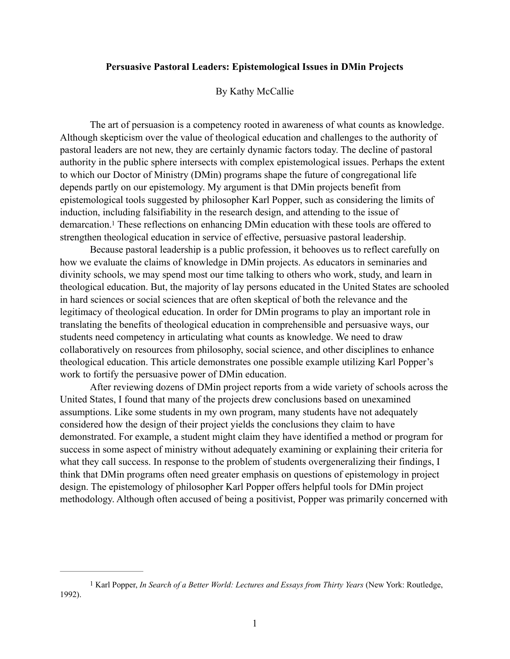## **Persuasive Pastoral Leaders: Epistemological Issues in DMin Projects**

## By Kathy McCallie

 The art of persuasion is a competency rooted in awareness of what counts as knowledge. Although skepticism over the value of theological education and challenges to the authority of pastoral leaders are not new, they are certainly dynamic factors today. The decline of pastoral authority in the public sphere intersects with complex epistemological issues. Perhaps the extent to which our Doctor of Ministry (DMin) programs shape the future of congregational life depends partly on our epistemology. My argument is that DMin projects benefit from epistemological tools suggested by philosopher Karl Popper, such as considering the limits of induction, including falsifiability in the research design, and attending to the issue of demarcation[.](#page-0-0)<sup>[1](#page-0-0)</sup> These reflections on enhancing DMin education with these tools are offered to strengthen theological education in service of effective, persuasive pastoral leadership.

<span id="page-0-1"></span> Because pastoral leadership is a public profession, it behooves us to reflect carefully on how we evaluate the claims of knowledge in DMin projects. As educators in seminaries and divinity schools, we may spend most our time talking to others who work, study, and learn in theological education. But, the majority of lay persons educated in the United States are schooled in hard sciences or social sciences that are often skeptical of both the relevance and the legitimacy of theological education. In order for DMin programs to play an important role in translating the benefits of theological education in comprehensible and persuasive ways, our students need competency in articulating what counts as knowledge. We need to draw collaboratively on resources from philosophy, social science, and other disciplines to enhance theological education. This article demonstrates one possible example utilizing Karl Popper's work to fortify the persuasive power of DMin education.

 After reviewing dozens of DMin project reports from a wide variety of schools across the United States, I found that many of the projects drew conclusions based on unexamined assumptions. Like some students in my own program, many students have not adequately considered how the design of their project yields the conclusions they claim to have demonstrated. For example, a student might claim they have identified a method or program for success in some aspect of ministry without adequately examining or explaining their criteria for what they call success. In response to the problem of students overgeneralizing their findings, I think that DMin programs often need greater emphasis on questions of epistemology in project design. The epistemology of philosopher Karl Popper offers helpful tools for DMin project methodology. Although often accused of being a positivist, Popper was primarily concerned with

<span id="page-0-0"></span>[<sup>1</sup>](#page-0-1) Karl Popper, *In Search of a Better World: Lectures and Essays from Thirty Years* (New York: Routledge, 1992).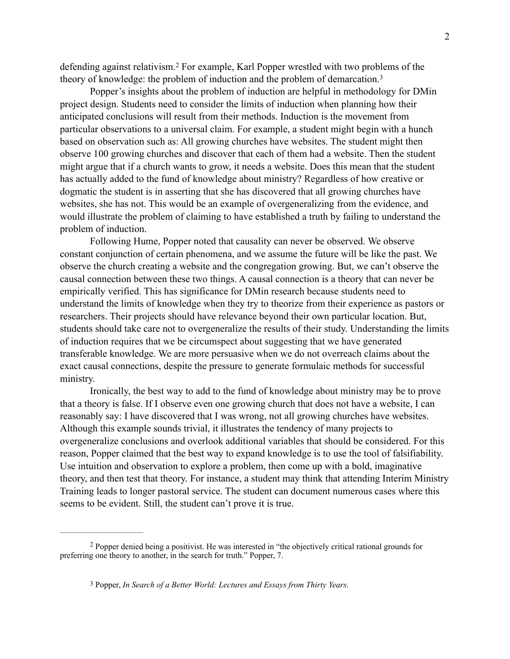<span id="page-1-3"></span><span id="page-1-2"></span>defendingagainst relativism.<sup>[2](#page-1-0)</sup> For example, Karl Popper wrestled with two problems of the theory of knowledge: the problem of induction and the problem of demarcation.[3](#page-1-1)

Popper's insights about the problem of induction are helpful in methodology for DMin project design. Students need to consider the limits of induction when planning how their anticipated conclusions will result from their methods. Induction is the movement from particular observations to a universal claim. For example, a student might begin with a hunch based on observation such as: All growing churches have websites. The student might then observe 100 growing churches and discover that each of them had a website. Then the student might argue that if a church wants to grow, it needs a website. Does this mean that the student has actually added to the fund of knowledge about ministry? Regardless of how creative or dogmatic the student is in asserting that she has discovered that all growing churches have websites, she has not. This would be an example of overgeneralizing from the evidence, and would illustrate the problem of claiming to have established a truth by failing to understand the problem of induction.

Following Hume, Popper noted that causality can never be observed. We observe constant conjunction of certain phenomena, and we assume the future will be like the past. We observe the church creating a website and the congregation growing. But, we can't observe the causal connection between these two things. A causal connection is a theory that can never be empirically verified. This has significance for DMin research because students need to understand the limits of knowledge when they try to theorize from their experience as pastors or researchers. Their projects should have relevance beyond their own particular location. But, students should take care not to overgeneralize the results of their study. Understanding the limits of induction requires that we be circumspect about suggesting that we have generated transferable knowledge. We are more persuasive when we do not overreach claims about the exact causal connections, despite the pressure to generate formulaic methods for successful ministry.

Ironically, the best way to add to the fund of knowledge about ministry may be to prove that a theory is false. If I observe even one growing church that does not have a website, I can reasonably say: I have discovered that I was wrong, not all growing churches have websites. Although this example sounds trivial, it illustrates the tendency of many projects to overgeneralize conclusions and overlook additional variables that should be considered. For this reason, Popper claimed that the best way to expand knowledge is to use the tool of falsifiability. Use intuition and observation to explore a problem, then come up with a bold, imaginative theory, and then test that theory. For instance, a student may think that attending Interim Ministry Training leads to longer pastoral service. The student can document numerous cases where this seems to be evident. Still, the student can't prove it is true.

<span id="page-1-0"></span>Popper denied being a positivist. He was interested in "the objectively critical rational grounds for [2](#page-1-2) preferring one theory to another, in the search for truth." Popper, 7.

<span id="page-1-1"></span>[<sup>3</sup>](#page-1-3) Popper, *In Search of a Better World: Lectures and Essays from Thirty Years.*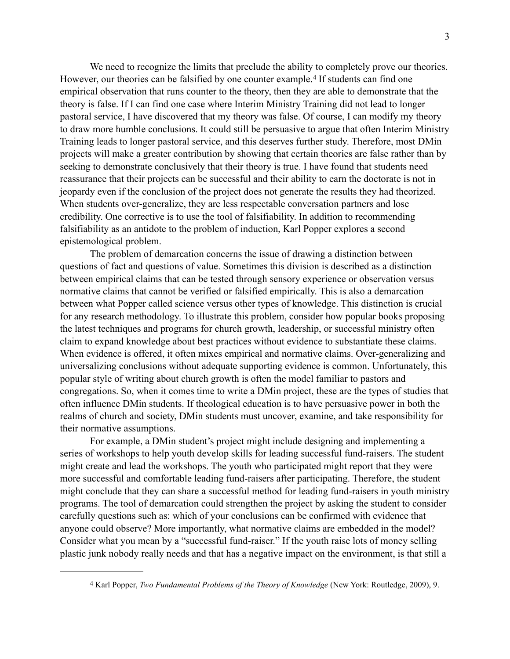<span id="page-2-1"></span>We need to recognize the limits that preclude the ability to completely prove our theories. However,our theories can be falsified by one counter example.<sup>[4](#page-2-0)</sup> If students can find one empirical observation that runs counter to the theory, then they are able to demonstrate that the theory is false. If I can find one case where Interim Ministry Training did not lead to longer pastoral service, I have discovered that my theory was false. Of course, I can modify my theory to draw more humble conclusions. It could still be persuasive to argue that often Interim Ministry Training leads to longer pastoral service, and this deserves further study. Therefore, most DMin projects will make a greater contribution by showing that certain theories are false rather than by seeking to demonstrate conclusively that their theory is true. I have found that students need reassurance that their projects can be successful and their ability to earn the doctorate is not in jeopardy even if the conclusion of the project does not generate the results they had theorized. When students over-generalize, they are less respectable conversation partners and lose credibility. One corrective is to use the tool of falsifiability. In addition to recommending falsifiability as an antidote to the problem of induction, Karl Popper explores a second epistemological problem.

The problem of demarcation concerns the issue of drawing a distinction between questions of fact and questions of value. Sometimes this division is described as a distinction between empirical claims that can be tested through sensory experience or observation versus normative claims that cannot be verified or falsified empirically. This is also a demarcation between what Popper called science versus other types of knowledge. This distinction is crucial for any research methodology. To illustrate this problem, consider how popular books proposing the latest techniques and programs for church growth, leadership, or successful ministry often claim to expand knowledge about best practices without evidence to substantiate these claims. When evidence is offered, it often mixes empirical and normative claims. Over-generalizing and universalizing conclusions without adequate supporting evidence is common. Unfortunately, this popular style of writing about church growth is often the model familiar to pastors and congregations. So, when it comes time to write a DMin project, these are the types of studies that often influence DMin students. If theological education is to have persuasive power in both the realms of church and society, DMin students must uncover, examine, and take responsibility for their normative assumptions.

For example, a DMin student's project might include designing and implementing a series of workshops to help youth develop skills for leading successful fund-raisers. The student might create and lead the workshops. The youth who participated might report that they were more successful and comfortable leading fund-raisers after participating. Therefore, the student might conclude that they can share a successful method for leading fund-raisers in youth ministry programs. The tool of demarcation could strengthen the project by asking the student to consider carefully questions such as: which of your conclusions can be confirmed with evidence that anyone could observe? More importantly, what normative claims are embedded in the model? Consider what you mean by a "successful fund-raiser." If the youth raise lots of money selling plastic junk nobody really needs and that has a negative impact on the environment, is that still a

<span id="page-2-0"></span>[<sup>4</sup>](#page-2-1) Karl Popper, *Two Fundamental Problems of the Theory of Knowledge* (New York: Routledge, 2009), 9.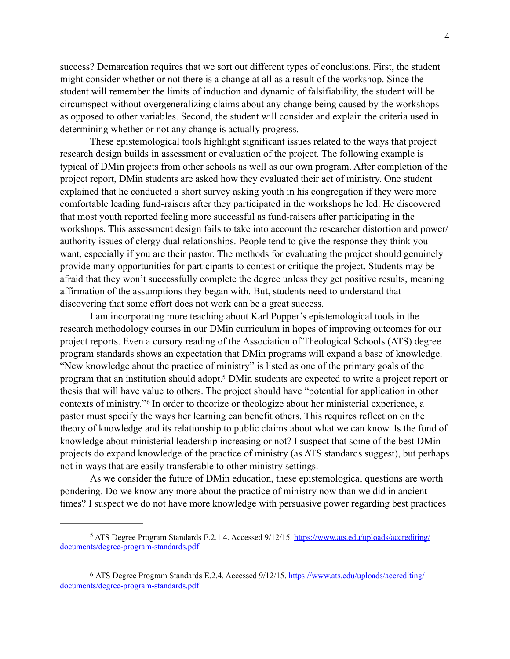success? Demarcation requires that we sort out different types of conclusions. First, the student might consider whether or not there is a change at all as a result of the workshop. Since the student will remember the limits of induction and dynamic of falsifiability, the student will be circumspect without overgeneralizing claims about any change being caused by the workshops as opposed to other variables. Second, the student will consider and explain the criteria used in determining whether or not any change is actually progress.

 These epistemological tools highlight significant issues related to the ways that project research design builds in assessment or evaluation of the project. The following example is typical of DMin projects from other schools as well as our own program. After completion of the project report, DMin students are asked how they evaluated their act of ministry. One student explained that he conducted a short survey asking youth in his congregation if they were more comfortable leading fund-raisers after they participated in the workshops he led. He discovered that most youth reported feeling more successful as fund-raisers after participating in the workshops. This assessment design fails to take into account the researcher distortion and power/ authority issues of clergy dual relationships. People tend to give the response they think you want, especially if you are their pastor. The methods for evaluating the project should genuinely provide many opportunities for participants to contest or critique the project. Students may be afraid that they won't successfully complete the degree unless they get positive results, meaning affirmation of the assumptions they began with. But, students need to understand that discovering that some effort does not work can be a great success.

<span id="page-3-2"></span> I am incorporating more teaching about Karl Popper's epistemological tools in the research methodology courses in our DMin curriculum in hopes of improving outcomes for our project reports. Even a cursory reading of the Association of Theological Schools (ATS) degree program standards shows an expectation that DMin programs will expand a base of knowledge. "New knowledge about the practice of ministry" is listed as one of the primary goals of the program that an institution should adopt[.](#page-3-0)<sup>[5](#page-3-0)</sup> DMin students are expected to write a project report or thesis that will have value to others. The project should have "potential for application in other contextsof ministry."<sup>[6](#page-3-1)</sup> In order to theorize or theologize about her ministerial experience, a pastor must specify the ways her learning can benefit others. This requires reflection on the theory of knowledge and its relationship to public claims about what we can know. Is the fund of knowledge about ministerial leadership increasing or not? I suspect that some of the best DMin projects do expand knowledge of the practice of ministry (as ATS standards suggest), but perhaps not in ways that are easily transferable to other ministry settings.

<span id="page-3-3"></span> As we consider the future of DMin education, these epistemological questions are worth pondering. Do we know any more about the practice of ministry now than we did in ancient times? I suspect we do not have more knowledge with persuasive power regarding best practices

<span id="page-3-0"></span>ATS Degree Program Standards E.2.1.4. Accessed 9/12/15. [https://www.ats.edu/uploads/accrediting/](https://www.ats.edu/uploads/accrediting/documents/degree-program-standards.pdf) [5](#page-3-2) [documents/degree-program-standards.pdf](https://www.ats.edu/uploads/accrediting/documents/degree-program-standards.pdf) 

<span id="page-3-1"></span>[<sup>6</sup>](#page-3-3) ATS Degree Program Standards E.2.4. Accessed 9/12/15. [https://www.ats.edu/uploads/accrediting/](https://www.ats.edu/uploads/accrediting/documents/degree-program-standards.pdf) [documents/degree-program-standards.pdf](https://www.ats.edu/uploads/accrediting/documents/degree-program-standards.pdf)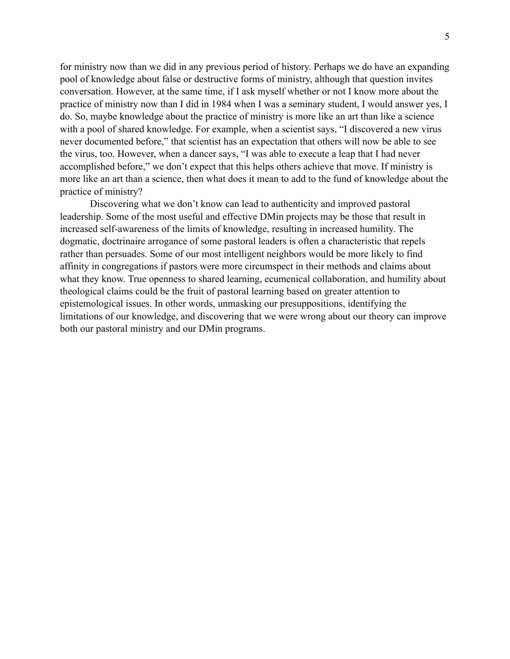for ministry now than we did in any previous period of history. Perhaps we do have an expanding pool of knowledge about false or destructive forms of ministry, although that question invites conversation. However, at the same time, if I ask myself whether or not I know more about the practice of ministry now than I did in 1984 when I was a seminary student, I would answer yes, I do. So, maybe knowledge about the practice of ministry is more like an art than like a science with a pool of shared knowledge. For example, when a scientist says, "I discovered a new virus never documented before," that scientist has an expectation that others will now be able to see the virus, too. However, when a dancer says, "I was able to execute a leap that I had never accomplished before," we don't expect that this helps others achieve that move. If ministry is more like an art than a science, then what does it mean to add to the fund of knowledge about the practice of ministry?

 Discovering what we don't know can lead to authenticity and improved pastoral leadership. Some of the most useful and effective DMin projects may be those that result in increased self-awareness of the limits of knowledge, resulting in increased humility. The dogmatic, doctrinaire arrogance of some pastoral leaders is often a characteristic that repels rather than persuades. Some of our most intelligent neighbors would be more likely to find affinity in congregations if pastors were more circumspect in their methods and claims about what they know. True openness to shared learning, ecumenical collaboration, and humility about theological claims could be the fruit of pastoral learning based on greater attention to epistemological issues. In other words, unmasking our presuppositions, identifying the limitations of our knowledge, and discovering that we were wrong about our theory can improve both our pastoral ministry and our DMin programs.